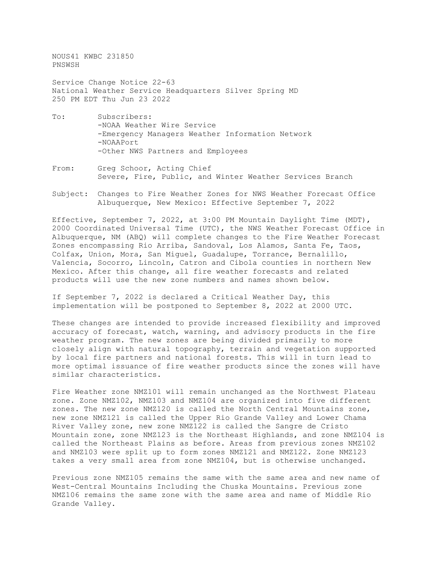NOUS41 KWBC 231850 PNSWSH

Service Change Notice 22-63 National Weather Service Headquarters Silver Spring MD 250 PM EDT Thu Jun 23 2022

- To: Subscribers: -NOAA Weather Wire Service -Emergency Managers Weather Information Network -NOAAPort -Other NWS Partners and Employees
- From: Greg Schoor, Acting Chief Severe, Fire, Public, and Winter Weather Services Branch
- Subject: Changes to Fire Weather Zones for NWS Weather Forecast Office Albuquerque, New Mexico: Effective September 7, 2022

Effective, September 7, 2022, at 3:00 PM Mountain Daylight Time (MDT), 2000 Coordinated Universal Time (UTC), the NWS Weather Forecast Office in Albuquerque, NM (ABQ) will complete changes to the Fire Weather Forecast Zones encompassing Rio Arriba, Sandoval, Los Alamos, Santa Fe, Taos, Colfax, Union, Mora, San Miguel, Guadalupe, Torrance, Bernalillo, Valencia, Socorro, Lincoln, Catron and Cibola counties in northern New Mexico. After this change, all fire weather forecasts and related products will use the new zone numbers and names shown below.

If September 7, 2022 is declared a Critical Weather Day, this implementation will be postponed to September 8, 2022 at 2000 UTC.

These changes are intended to provide increased flexibility and improved accuracy of forecast, watch, warning, and advisory products in the fire weather program. The new zones are being divided primarily to more closely align with natural topography, terrain and vegetation supported by local fire partners and national forests. This will in turn lead to more optimal issuance of fire weather products since the zones will have similar characteristics.

Fire Weather zone NMZ101 will remain unchanged as the Northwest Plateau zone. Zone NMZ102, NMZ103 and NMZ104 are organized into five different zones. The new zone NMZ120 is called the North Central Mountains zone, new zone NMZ121 is called the Upper Rio Grande Valley and Lower Chama River Valley zone, new zone NMZ122 is called the Sangre de Cristo Mountain zone, zone NMZ123 is the Northeast Highlands, and zone NMZ104 is called the Northeast Plains as before. Areas from previous zones NMZ102 and NMZ103 were split up to form zones NMZ121 and NMZ122. Zone NMZ123 takes a very small area from zone NMZ104, but is otherwise unchanged.

Previous zone NMZ105 remains the same with the same area and new name of West-Central Mountains Including the Chuska Mountains. Previous zone NMZ106 remains the same zone with the same area and name of Middle Rio Grande Valley.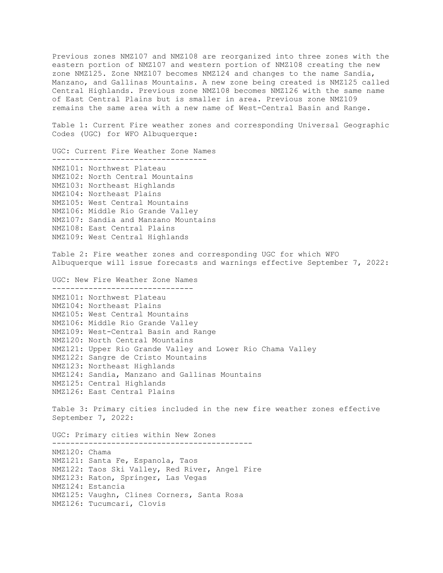Previous zones NMZ107 and NMZ108 are reorganized into three zones with the eastern portion of NMZ107 and western portion of NMZ108 creating the new zone NMZ125. Zone NMZ107 becomes NMZ124 and changes to the name Sandia, Manzano, and Gallinas Mountains. A new zone being created is NMZ125 called Central Highlands. Previous zone NMZ108 becomes NMZ126 with the same name of East Central Plains but is smaller in area. Previous zone NMZ109 remains the same area with a new name of West-Central Basin and Range.

Table 1: Current Fire weather zones and corresponding Universal Geographic Codes (UGC) for WFO Albuquerque:

UGC: Current Fire Weather Zone Names ---------------------------------- NMZ101: Northwest Plateau NMZ102: North Central Mountains NMZ103: Northeast Highlands NMZ104: Northeast Plains NMZ105: West Central Mountains NMZ106: Middle Rio Grande Valley NMZ107: Sandia and Manzano Mountains NMZ108: East Central Plains NMZ109: West Central Highlands

Table 2: Fire weather zones and corresponding UGC for which WFO Albuquerque will issue forecasts and warnings effective September 7, 2022:

UGC: New Fire Weather Zone Names ------------------------------- NMZ101: Northwest Plateau NMZ104: Northeast Plains NMZ105: West Central Mountains NMZ106: Middle Rio Grande Valley NMZ109: West-Central Basin and Range NMZ120: North Central Mountains NMZ121: Upper Rio Grande Valley and Lower Rio Chama Valley NMZ122: Sangre de Cristo Mountains NMZ123: Northeast Highlands NMZ124: Sandia, Manzano and Gallinas Mountains NMZ125: Central Highlands NMZ126: East Central Plains

Table 3: Primary cities included in the new fire weather zones effective September 7, 2022:

UGC: Primary cities within New Zones -------------------------------------------- NMZ120: Chama NMZ121: Santa Fe, Espanola, Taos NMZ122: Taos Ski Valley, Red River, Angel Fire NMZ123: Raton, Springer, Las Vegas NMZ124: Estancia NMZ125: Vaughn, Clines Corners, Santa Rosa NMZ126: Tucumcari, Clovis